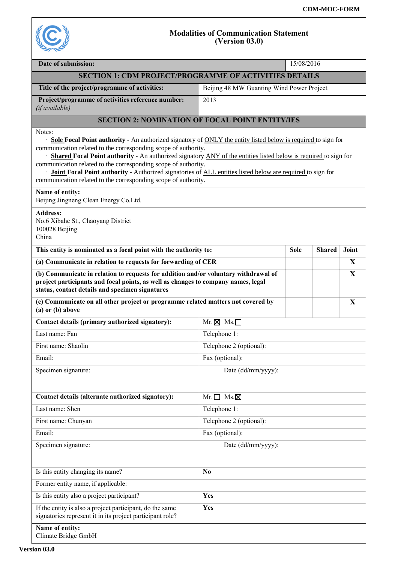

## **Modalities of Communication Statement (Version 03.0)**

| Date of submission:                                                                                                                                                                                                                                                                                                                                                                                                                                                                                                                                                                                       |                                           | 15/08/2016  |               |       |  |  |  |
|-----------------------------------------------------------------------------------------------------------------------------------------------------------------------------------------------------------------------------------------------------------------------------------------------------------------------------------------------------------------------------------------------------------------------------------------------------------------------------------------------------------------------------------------------------------------------------------------------------------|-------------------------------------------|-------------|---------------|-------|--|--|--|
| <b>SECTION 1: CDM PROJECT/PROGRAMME OF ACTIVITIES DETAILS</b>                                                                                                                                                                                                                                                                                                                                                                                                                                                                                                                                             |                                           |             |               |       |  |  |  |
| Title of the project/programme of activities:                                                                                                                                                                                                                                                                                                                                                                                                                                                                                                                                                             | Beijing 48 MW Guanting Wind Power Project |             |               |       |  |  |  |
| Project/programme of activities reference number:<br>(if available)                                                                                                                                                                                                                                                                                                                                                                                                                                                                                                                                       | 2013                                      |             |               |       |  |  |  |
| <b>SECTION 2: NOMINATION OF FOCAL POINT ENTITY/IES</b>                                                                                                                                                                                                                                                                                                                                                                                                                                                                                                                                                    |                                           |             |               |       |  |  |  |
| Notes:<br><b>Sole Focal Point authority</b> - An authorized signatory of <b>ONLY</b> the entity listed below is required to sign for<br>communication related to the corresponding scope of authority.<br>· Shared Focal Point authority - An authorized signatory ANY of the entities listed below is required to sign for<br>communication related to the corresponding scope of authority.<br>· <b>Joint Focal Point authority</b> - Authorized signatories of ALL entities listed below are required to sign for<br>communication related to the corresponding scope of authority.<br>Name of entity: |                                           |             |               |       |  |  |  |
| Beijing Jingneng Clean Energy Co.Ltd.                                                                                                                                                                                                                                                                                                                                                                                                                                                                                                                                                                     |                                           |             |               |       |  |  |  |
| <b>Address:</b><br>No.6 Xibahe St., Chaoyang District<br>100028 Beijing<br>China                                                                                                                                                                                                                                                                                                                                                                                                                                                                                                                          |                                           |             |               |       |  |  |  |
| This entity is nominated as a focal point with the authority to:                                                                                                                                                                                                                                                                                                                                                                                                                                                                                                                                          |                                           | <b>Sole</b> | <b>Shared</b> | Joint |  |  |  |
| (a) Communicate in relation to requests for forwarding of CER                                                                                                                                                                                                                                                                                                                                                                                                                                                                                                                                             |                                           |             |               | X     |  |  |  |
| (b) Communicate in relation to requests for addition and/or voluntary withdrawal of<br>project participants and focal points, as well as changes to company names, legal<br>status, contact details and specimen signatures                                                                                                                                                                                                                                                                                                                                                                               |                                           |             |               | X     |  |  |  |
| (c) Communicate on all other project or programme related matters not covered by<br>(a) or (b) above                                                                                                                                                                                                                                                                                                                                                                                                                                                                                                      |                                           |             |               | X     |  |  |  |
| Contact details (primary authorized signatory):                                                                                                                                                                                                                                                                                                                                                                                                                                                                                                                                                           | $Mr. \boxtimes Ms. \Box$                  |             |               |       |  |  |  |
| Last name: Fan                                                                                                                                                                                                                                                                                                                                                                                                                                                                                                                                                                                            | Telephone 1:                              |             |               |       |  |  |  |
| First name: Shaolin                                                                                                                                                                                                                                                                                                                                                                                                                                                                                                                                                                                       | Telephone 2 (optional):                   |             |               |       |  |  |  |
| Email:                                                                                                                                                                                                                                                                                                                                                                                                                                                                                                                                                                                                    | Fax (optional):                           |             |               |       |  |  |  |
| Specimen signature:                                                                                                                                                                                                                                                                                                                                                                                                                                                                                                                                                                                       | Date (dd/mm/yyyy):                        |             |               |       |  |  |  |
|                                                                                                                                                                                                                                                                                                                                                                                                                                                                                                                                                                                                           |                                           |             |               |       |  |  |  |
| Contact details (alternate authorized signatory):                                                                                                                                                                                                                                                                                                                                                                                                                                                                                                                                                         | $Mr.\Box$ Ms. $\boxtimes$                 |             |               |       |  |  |  |
| Last name: Shen                                                                                                                                                                                                                                                                                                                                                                                                                                                                                                                                                                                           | Telephone 1:                              |             |               |       |  |  |  |
| First name: Chunyan                                                                                                                                                                                                                                                                                                                                                                                                                                                                                                                                                                                       | Telephone 2 (optional):                   |             |               |       |  |  |  |
| Email:                                                                                                                                                                                                                                                                                                                                                                                                                                                                                                                                                                                                    | Fax (optional):                           |             |               |       |  |  |  |
| Specimen signature:<br>Date (dd/mm/yyyy):                                                                                                                                                                                                                                                                                                                                                                                                                                                                                                                                                                 |                                           |             |               |       |  |  |  |
| Is this entity changing its name?                                                                                                                                                                                                                                                                                                                                                                                                                                                                                                                                                                         | N <sub>0</sub>                            |             |               |       |  |  |  |
| Former entity name, if applicable:                                                                                                                                                                                                                                                                                                                                                                                                                                                                                                                                                                        |                                           |             |               |       |  |  |  |
| Is this entity also a project participant?                                                                                                                                                                                                                                                                                                                                                                                                                                                                                                                                                                | Yes                                       |             |               |       |  |  |  |
| If the entity is also a project participant, do the same<br>signatories represent it in its project participant role?                                                                                                                                                                                                                                                                                                                                                                                                                                                                                     | Yes                                       |             |               |       |  |  |  |
| Name of entity:<br>Climate Bridge GmbH                                                                                                                                                                                                                                                                                                                                                                                                                                                                                                                                                                    |                                           |             |               |       |  |  |  |